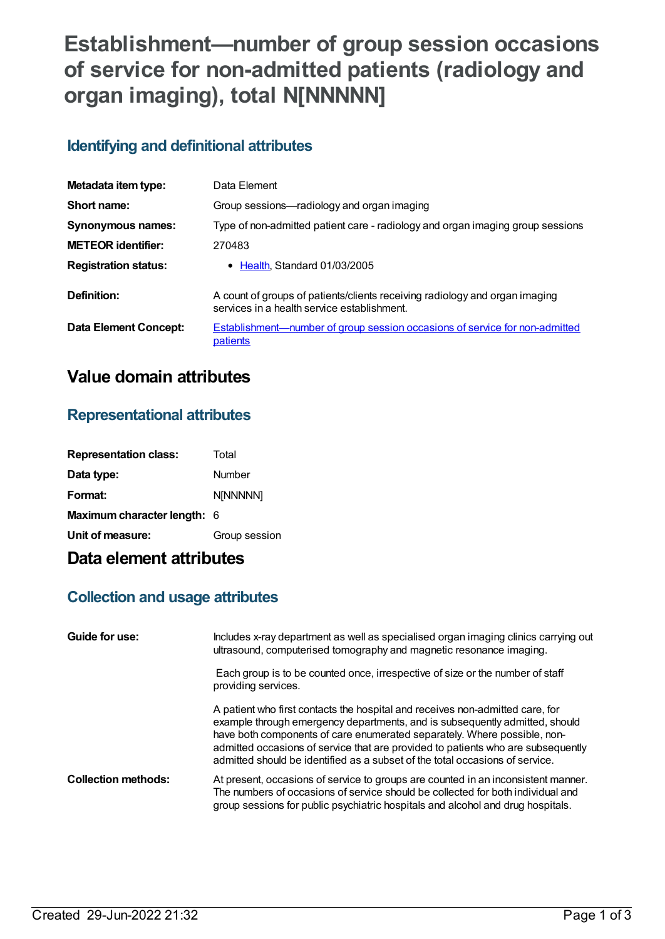# **Establishment—number of group session occasions of service for non-admitted patients (radiology and organ imaging), total N[NNNNN]**

## **Identifying and definitional attributes**

| Metadata item type:         | Data Element                                                                                                               |
|-----------------------------|----------------------------------------------------------------------------------------------------------------------------|
| Short name:                 | Group sessions—radiology and organ imaging                                                                                 |
| <b>Synonymous names:</b>    | Type of non-admitted patient care - radiology and organ imaging group sessions                                             |
| <b>METEOR identifier:</b>   | 270483                                                                                                                     |
| <b>Registration status:</b> | • Health, Standard 01/03/2005                                                                                              |
| Definition:                 | A count of groups of patients/clients receiving radiology and organ imaging<br>services in a health service establishment. |
| Data Element Concept:       | <b>Establishment—number of group session occasions of service for non-admitted</b><br>patients                             |

## **Value domain attributes**

#### **Representational attributes**

| <b>Representation class:</b> | Total         |
|------------------------------|---------------|
| Data type:                   | Number        |
| Format:                      | N[NNNNN]      |
| Maximum character length: 6  |               |
| Unit of measure:             | Group session |

## **Data element attributes**

### **Collection and usage attributes**

| Guide for use:             | Includes x-ray department as well as specialised organ imaging clinics carrying out<br>ultrasound, computerised tomography and magnetic resonance imaging.                                                                                                                                                                                                                                                   |
|----------------------------|--------------------------------------------------------------------------------------------------------------------------------------------------------------------------------------------------------------------------------------------------------------------------------------------------------------------------------------------------------------------------------------------------------------|
|                            | Each group is to be counted once, irrespective of size or the number of staff<br>providing services.                                                                                                                                                                                                                                                                                                         |
|                            | A patient who first contacts the hospital and receives non-admitted care, for<br>example through emergency departments, and is subsequently admitted, should<br>have both components of care enumerated separately. Where possible, non-<br>admitted occasions of service that are provided to patients who are subsequently<br>admitted should be identified as a subset of the total occasions of service. |
| <b>Collection methods:</b> | At present, occasions of service to groups are counted in an inconsistent manner.<br>The numbers of occasions of service should be collected for both individual and<br>group sessions for public psychiatric hospitals and alcohol and drug hospitals.                                                                                                                                                      |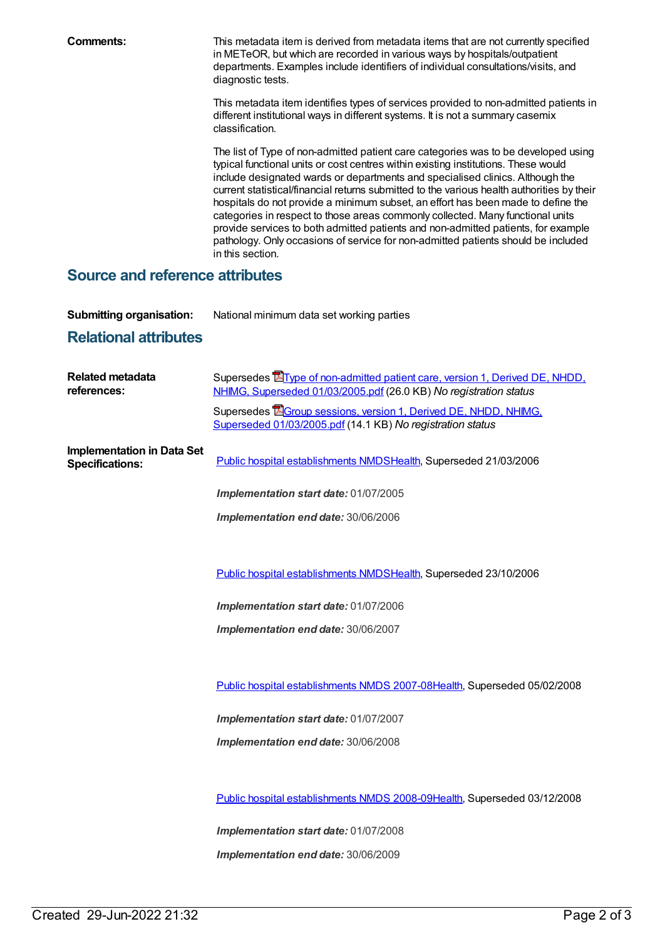**Comments:** This metadata item is derived from metadata items that are not currently specified in METeOR, but which are recorded in various ways by hospitals/outpatient departments. Examples include identifiers of individual consultations/visits, and diagnostic tests.

> This metadata item identifies types of services provided to non-admitted patients in different institutional ways in different systems. It is not a summary casemix classification.

> The list of Type of non-admitted patient care categories was to be developed using typical functional units or cost centres within existing institutions. These would include designated wards or departments and specialised clinics. Although the current statistical/financial returns submitted to the various health authorities by their hospitals do not provide a minimum subset, an effort has been made to define the categories in respect to those areas commonly collected. Many functional units provide services to both admitted patients and non-admitted patients, for example pathology. Only occasions of service for non-admitted patients should be included in this section.

#### **Source and reference attributes**

**Submitting organisation:** National minimum data set working parties

## **Relational attributes**

| Supersedes <b>E</b> Type of non-admitted patient care, version 1, Derived DE, NHDD,<br>NHIMG, Superseded 01/03/2005.pdf (26.0 KB) No registration status |
|----------------------------------------------------------------------------------------------------------------------------------------------------------|
| Supersedes EGroup sessions, version 1, Derived DE, NHDD, NHIMG,<br>Superseded 01/03/2005.pdf (14.1 KB) No registration status                            |
| Public hospital establishments NMDSHealth, Superseded 21/03/2006                                                                                         |
| Implementation start date: 01/07/2005                                                                                                                    |
| Implementation end date: 30/06/2006                                                                                                                      |
|                                                                                                                                                          |
| Public hospital establishments NMDSHealth, Superseded 23/10/2006                                                                                         |
| Implementation start date: 01/07/2006                                                                                                                    |
| Implementation end date: 30/06/2007                                                                                                                      |
|                                                                                                                                                          |
| Public hospital establishments NMDS 2007-08Health, Superseded 05/02/2008                                                                                 |
| Implementation start date: 01/07/2007                                                                                                                    |
| Implementation end date: 30/06/2008                                                                                                                      |
|                                                                                                                                                          |
| Public hospital establishments NMDS 2008-09Health, Superseded 03/12/2008                                                                                 |
| Implementation start date: 01/07/2008                                                                                                                    |
| Implementation end date: 30/06/2009                                                                                                                      |
|                                                                                                                                                          |